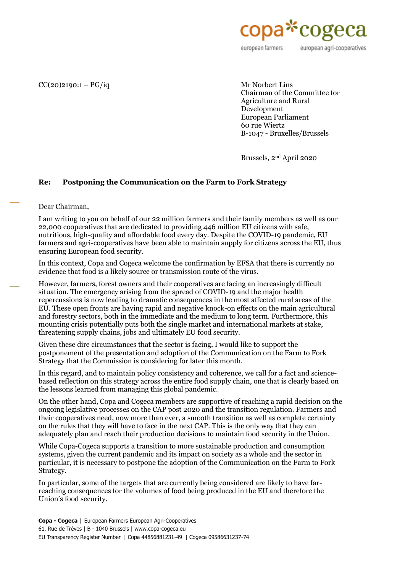

european agri-cooperatives

## $CC(20)$ 2190:1 –  $PG/iq$  Mr Norbert Lins

Chairman of the Committee for Agriculture and Rural Development European Parliament 60 rue Wiertz B-1047 - Bruxelles/Brussels

Brussels, 2nd April 2020

## **Re: Postponing the Communication on the Farm to Fork Strategy**

Dear Chairman,

I am writing to you on behalf of our 22 million farmers and their family members as well as our 22,000 cooperatives that are dedicated to providing 446 million EU citizens with safe, nutritious, high-quality and affordable food every day. Despite the COVID-19 pandemic, EU farmers and agri-cooperatives have been able to maintain supply for citizens across the EU, thus ensuring European food security.

In this context, Copa and Cogeca welcome the confirmation by EFSA that there is currently no evidence that food is a likely source or transmission route of the virus.

However, farmers, forest owners and their cooperatives are facing an increasingly difficult situation. The emergency arising from the spread of COVID-19 and the major health repercussions is now leading to dramatic consequences in the most affected rural areas of the EU. These open fronts are having rapid and negative knock-on effects on the main agricultural and forestry sectors, both in the immediate and the medium to long term. Furthermore, this mounting crisis potentially puts both the single market and international markets at stake, threatening supply chains, jobs and ultimately EU food security.

Given these dire circumstances that the sector is facing, I would like to support the postponement of the presentation and adoption of the Communication on the Farm to Fork Strategy that the Commission is considering for later this month.

In this regard, and to maintain policy consistency and coherence, we call for a fact and sciencebased reflection on this strategy across the entire food supply chain, one that is clearly based on the lessons learned from managing this global pandemic.

On the other hand, Copa and Cogeca members are supportive of reaching a rapid decision on the ongoing legislative processes on the CAP post 2020 and the transition regulation. Farmers and their cooperatives need, now more than ever, a smooth transition as well as complete certainty on the rules that they will have to face in the next CAP. This is the only way that they can adequately plan and reach their production decisions to maintain food security in the Union.

While Copa-Cogeca supports a transition to more sustainable production and consumption systems, given the current pandemic and its impact on society as a whole and the sector in particular, it is necessary to postpone the adoption of the Communication on the Farm to Fork Strategy.

In particular, some of the targets that are currently being considered are likely to have farreaching consequences for the volumes of food being produced in the EU and therefore the Union's food security.